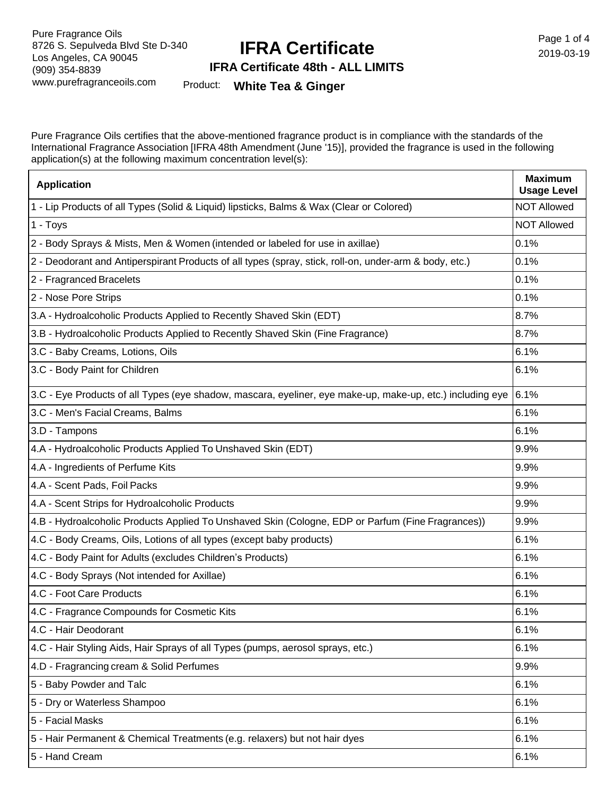# **IFRA Certificate**

Page 1 of 4 2019-03-19

### **IFRA Certificate 48th - ALL LIMITS**

Product: **White Tea & Ginger**

Pure Fragrance Oils certifies that the above-mentioned fragrance product is in compliance with the standards of the International Fragrance Association [IFRA 48th Amendment (June '15)], provided the fragrance is used in the following application(s) at the following maximum concentration level(s):

| <b>Application</b>                                                                                        | <b>Maximum</b><br><b>Usage Level</b> |
|-----------------------------------------------------------------------------------------------------------|--------------------------------------|
| 1 - Lip Products of all Types (Solid & Liquid) lipsticks, Balms & Wax (Clear or Colored)                  | <b>NOT Allowed</b>                   |
| 1 - Toys                                                                                                  | <b>NOT Allowed</b>                   |
| 2 - Body Sprays & Mists, Men & Women (intended or labeled for use in axillae)                             | 0.1%                                 |
| 2 - Deodorant and Antiperspirant Products of all types (spray, stick, roll-on, under-arm & body, etc.)    | 0.1%                                 |
| 2 - Fragranced Bracelets                                                                                  | 0.1%                                 |
| 2 - Nose Pore Strips                                                                                      | 0.1%                                 |
| 3.A - Hydroalcoholic Products Applied to Recently Shaved Skin (EDT)                                       | 8.7%                                 |
| 3.B - Hydroalcoholic Products Applied to Recently Shaved Skin (Fine Fragrance)                            | 8.7%                                 |
| 3.C - Baby Creams, Lotions, Oils                                                                          | 6.1%                                 |
| 3.C - Body Paint for Children                                                                             | 6.1%                                 |
| 3.C - Eye Products of all Types (eye shadow, mascara, eyeliner, eye make-up, make-up, etc.) including eye | 6.1%                                 |
| 3.C - Men's Facial Creams, Balms                                                                          | 6.1%                                 |
| 3.D - Tampons                                                                                             | 6.1%                                 |
| 4.A - Hydroalcoholic Products Applied To Unshaved Skin (EDT)                                              | 9.9%                                 |
| 4.A - Ingredients of Perfume Kits                                                                         | 9.9%                                 |
| 4.A - Scent Pads, Foil Packs                                                                              | 9.9%                                 |
| 4.A - Scent Strips for Hydroalcoholic Products                                                            | 9.9%                                 |
| 4.B - Hydroalcoholic Products Applied To Unshaved Skin (Cologne, EDP or Parfum (Fine Fragrances))         | 9.9%                                 |
| 4.C - Body Creams, Oils, Lotions of all types (except baby products)                                      | 6.1%                                 |
| 4.C - Body Paint for Adults (excludes Children's Products)                                                | 6.1%                                 |
| 4.C - Body Sprays (Not intended for Axillae)                                                              | 6.1%                                 |
| 4.C - Foot Care Products                                                                                  | 6.1%                                 |
| 4.C - Fragrance Compounds for Cosmetic Kits                                                               | 6.1%                                 |
| 4.C - Hair Deodorant                                                                                      | 6.1%                                 |
| 4.C - Hair Styling Aids, Hair Sprays of all Types (pumps, aerosol sprays, etc.)                           | 6.1%                                 |
| 4.D - Fragrancing cream & Solid Perfumes                                                                  | 9.9%                                 |
| 5 - Baby Powder and Talc                                                                                  | 6.1%                                 |
| 5 - Dry or Waterless Shampoo                                                                              | 6.1%                                 |
| 5 - Facial Masks                                                                                          | 6.1%                                 |
| 5 - Hair Permanent & Chemical Treatments (e.g. relaxers) but not hair dyes                                | 6.1%                                 |
| 5 - Hand Cream                                                                                            | 6.1%                                 |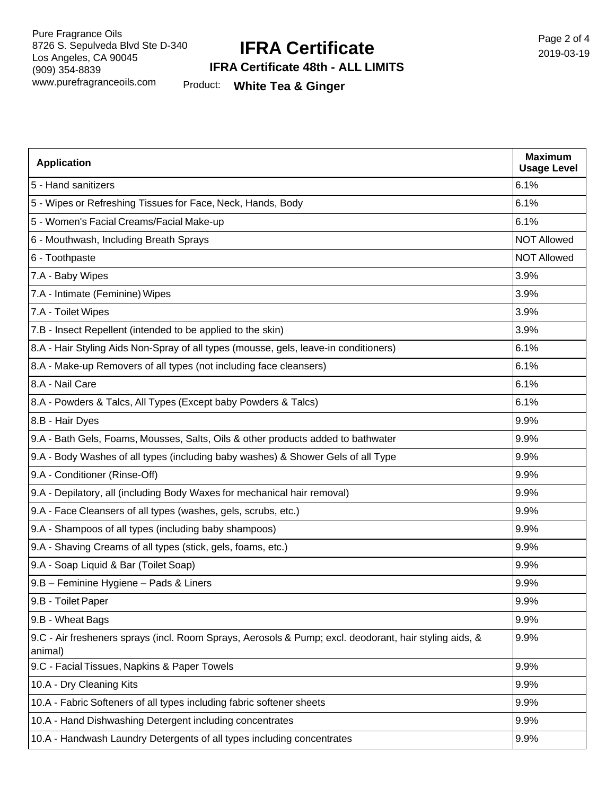## **IFRA Certificate**

Page 2 of 4 2019-03-19

#### **IFRA Certificate 48th - ALL LIMITS**

Product: **White Tea & Ginger**

| <b>Application</b>                                                                                                | <b>Maximum</b><br><b>Usage Level</b> |
|-------------------------------------------------------------------------------------------------------------------|--------------------------------------|
| 5 - Hand sanitizers                                                                                               | 6.1%                                 |
| 5 - Wipes or Refreshing Tissues for Face, Neck, Hands, Body                                                       | 6.1%                                 |
| 5 - Women's Facial Creams/Facial Make-up                                                                          | 6.1%                                 |
| 6 - Mouthwash, Including Breath Sprays                                                                            | <b>NOT Allowed</b>                   |
| 6 - Toothpaste                                                                                                    | <b>NOT Allowed</b>                   |
| 7.A - Baby Wipes                                                                                                  | 3.9%                                 |
| 7.A - Intimate (Feminine) Wipes                                                                                   | 3.9%                                 |
| 7.A - Toilet Wipes                                                                                                | 3.9%                                 |
| 7.B - Insect Repellent (intended to be applied to the skin)                                                       | 3.9%                                 |
| 8.A - Hair Styling Aids Non-Spray of all types (mousse, gels, leave-in conditioners)                              | 6.1%                                 |
| 8.A - Make-up Removers of all types (not including face cleansers)                                                | 6.1%                                 |
| 8.A - Nail Care                                                                                                   | 6.1%                                 |
| 8.A - Powders & Talcs, All Types (Except baby Powders & Talcs)                                                    | 6.1%                                 |
| 8.B - Hair Dyes                                                                                                   | 9.9%                                 |
| 9.A - Bath Gels, Foams, Mousses, Salts, Oils & other products added to bathwater                                  | 9.9%                                 |
| 9.A - Body Washes of all types (including baby washes) & Shower Gels of all Type                                  | 9.9%                                 |
| 9.A - Conditioner (Rinse-Off)                                                                                     | 9.9%                                 |
| 9.A - Depilatory, all (including Body Waxes for mechanical hair removal)                                          | 9.9%                                 |
| 9.A - Face Cleansers of all types (washes, gels, scrubs, etc.)                                                    | 9.9%                                 |
| 9.A - Shampoos of all types (including baby shampoos)                                                             | 9.9%                                 |
| 9.A - Shaving Creams of all types (stick, gels, foams, etc.)                                                      | 9.9%                                 |
| 9.A - Soap Liquid & Bar (Toilet Soap)                                                                             | 9.9%                                 |
| 9.B - Feminine Hygiene - Pads & Liners                                                                            | 9.9%                                 |
| 9.B - Toilet Paper                                                                                                | 9.9%                                 |
| 9.B - Wheat Bags                                                                                                  | 9.9%                                 |
| 9.C - Air fresheners sprays (incl. Room Sprays, Aerosols & Pump; excl. deodorant, hair styling aids, &<br>animal) | 9.9%                                 |
| 9.C - Facial Tissues, Napkins & Paper Towels                                                                      | 9.9%                                 |
| 10.A - Dry Cleaning Kits                                                                                          | 9.9%                                 |
| 10.A - Fabric Softeners of all types including fabric softener sheets                                             | 9.9%                                 |
| 10.A - Hand Dishwashing Detergent including concentrates                                                          | 9.9%                                 |
| 10.A - Handwash Laundry Detergents of all types including concentrates                                            | 9.9%                                 |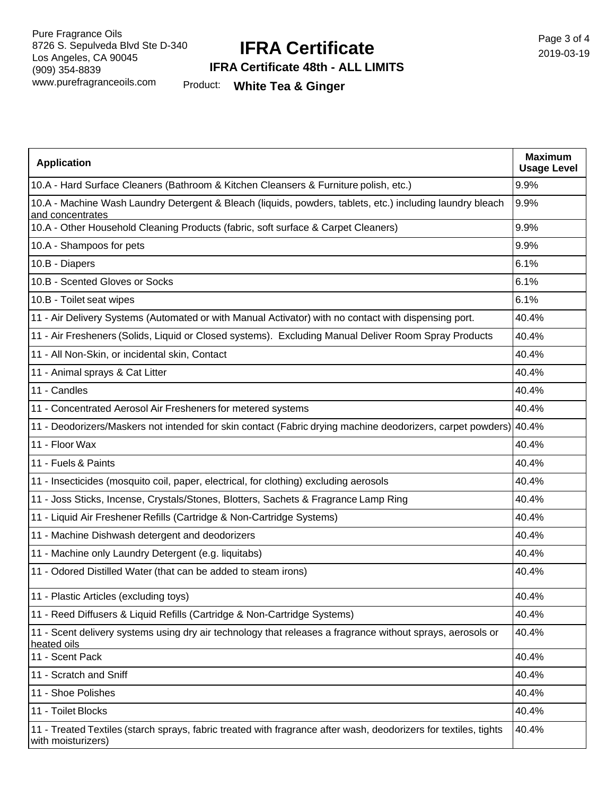# **IFRA Certificate**

Page 3 of 4 2019-03-19

### **IFRA Certificate 48th - ALL LIMITS**

Product: **White Tea & Ginger**

| <b>Application</b>                                                                                                                     | <b>Maximum</b><br><b>Usage Level</b> |
|----------------------------------------------------------------------------------------------------------------------------------------|--------------------------------------|
| 10.A - Hard Surface Cleaners (Bathroom & Kitchen Cleansers & Furniture polish, etc.)                                                   | 9.9%                                 |
| 10.A - Machine Wash Laundry Detergent & Bleach (liquids, powders, tablets, etc.) including laundry bleach<br>and concentrates          | 9.9%                                 |
| 10.A - Other Household Cleaning Products (fabric, soft surface & Carpet Cleaners)                                                      | 9.9%                                 |
| 10.A - Shampoos for pets                                                                                                               | 9.9%                                 |
| 10.B - Diapers                                                                                                                         | 6.1%                                 |
| 10.B - Scented Gloves or Socks                                                                                                         | 6.1%                                 |
| 10.B - Toilet seat wipes                                                                                                               | 6.1%                                 |
| 11 - Air Delivery Systems (Automated or with Manual Activator) with no contact with dispensing port.                                   | 40.4%                                |
| 11 - Air Fresheners (Solids, Liquid or Closed systems). Excluding Manual Deliver Room Spray Products                                   | 40.4%                                |
| 11 - All Non-Skin, or incidental skin, Contact                                                                                         | 40.4%                                |
| 11 - Animal sprays & Cat Litter                                                                                                        | 40.4%                                |
| 11 - Candles                                                                                                                           | 40.4%                                |
| 11 - Concentrated Aerosol Air Fresheners for metered systems                                                                           | 40.4%                                |
| 11 - Deodorizers/Maskers not intended for skin contact (Fabric drying machine deodorizers, carpet powders) 40.4%                       |                                      |
| 11 - Floor Wax                                                                                                                         | 40.4%                                |
| 11 - Fuels & Paints                                                                                                                    | 40.4%                                |
| 11 - Insecticides (mosquito coil, paper, electrical, for clothing) excluding aerosols                                                  | 40.4%                                |
| 11 - Joss Sticks, Incense, Crystals/Stones, Blotters, Sachets & Fragrance Lamp Ring                                                    | 40.4%                                |
| 11 - Liquid Air Freshener Refills (Cartridge & Non-Cartridge Systems)                                                                  | 40.4%                                |
| 11 - Machine Dishwash detergent and deodorizers                                                                                        | 40.4%                                |
| 11 - Machine only Laundry Detergent (e.g. liquitabs)                                                                                   | 40.4%                                |
| 11 - Odored Distilled Water (that can be added to steam irons)                                                                         | 40.4%                                |
| 11 - Plastic Articles (excluding toys)                                                                                                 | 40.4%                                |
| 11 - Reed Diffusers & Liquid Refills (Cartridge & Non-Cartridge Systems)                                                               | 40.4%                                |
| 11 - Scent delivery systems using dry air technology that releases a fragrance without sprays, aerosols or<br>heated oils              | 40.4%                                |
| 11 - Scent Pack                                                                                                                        | 40.4%                                |
| 11 - Scratch and Sniff                                                                                                                 | 40.4%                                |
| 11 - Shoe Polishes                                                                                                                     | 40.4%                                |
| 11 - Toilet Blocks                                                                                                                     | 40.4%                                |
| 11 - Treated Textiles (starch sprays, fabric treated with fragrance after wash, deodorizers for textiles, tights<br>with moisturizers) | 40.4%                                |